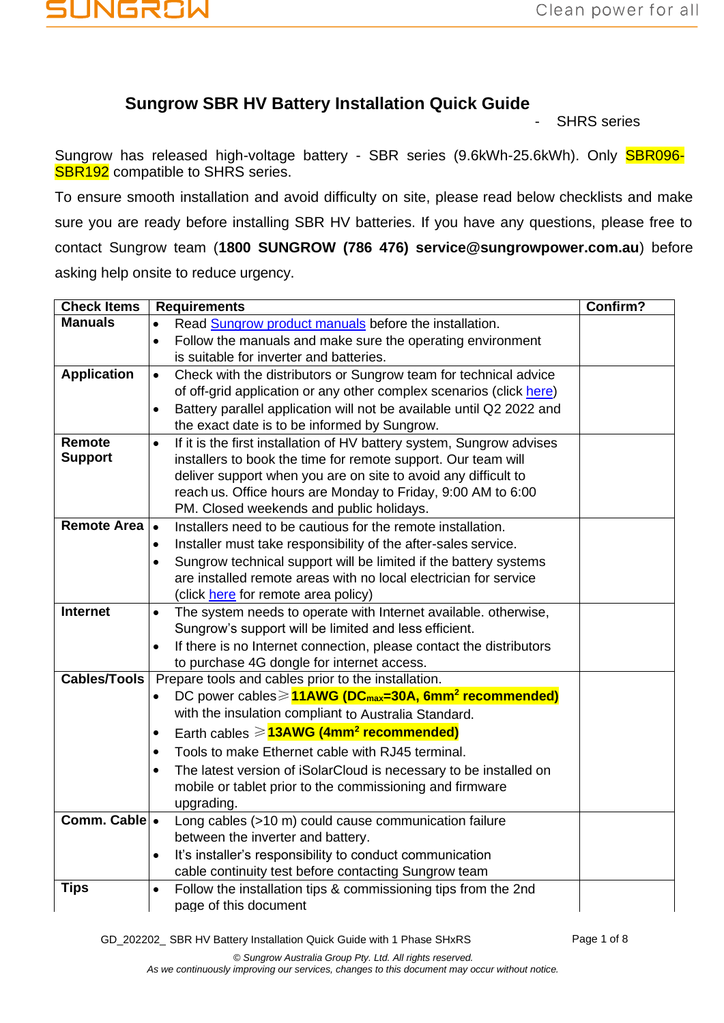## **JNGROW**

### **Sungrow SBR HV Battery Installation Quick Guide**

**SHRS** series

Sungrow has released high-voltage battery - SBR series (9.6kWh-25.6kWh). Only SBR096-**SBR192** compatible to SHRS series.

To ensure smooth installation and avoid difficulty on site, please read below checklists and make sure you are ready before installing SBR HV batteries. If you have any questions, please free to contact Sungrow team (**1800 SUNGROW (786 476) service@sungrowpower.com.au**) before asking help onsite to reduce urgency.

| <b>Check Items</b>  | <b>Requirements</b>                                                                              | Confirm? |
|---------------------|--------------------------------------------------------------------------------------------------|----------|
| <b>Manuals</b>      | Read Sungrow product manuals before the installation.<br>$\bullet$                               |          |
|                     | Follow the manuals and make sure the operating environment<br>$\bullet$                          |          |
|                     | is suitable for inverter and batteries.                                                          |          |
| <b>Application</b>  | Check with the distributors or Sungrow team for technical advice<br>$\bullet$                    |          |
|                     | of off-grid application or any other complex scenarios (click here)                              |          |
|                     | Battery parallel application will not be available until Q2 2022 and<br>$\bullet$                |          |
|                     | the exact date is to be informed by Sungrow.                                                     |          |
| Remote              | If it is the first installation of HV battery system, Sungrow advises<br>$\bullet$               |          |
| <b>Support</b>      | installers to book the time for remote support. Our team will                                    |          |
|                     | deliver support when you are on site to avoid any difficult to                                   |          |
|                     | reach us. Office hours are Monday to Friday, 9:00 AM to 6:00                                     |          |
|                     | PM. Closed weekends and public holidays.                                                         |          |
| <b>Remote Area</b>  | Installers need to be cautious for the remote installation.<br>$\bullet$                         |          |
|                     | Installer must take responsibility of the after-sales service.<br>$\bullet$                      |          |
|                     | Sungrow technical support will be limited if the battery systems<br>$\bullet$                    |          |
|                     | are installed remote areas with no local electrician for service                                 |          |
|                     | (click here for remote area policy)                                                              |          |
| Internet            | The system needs to operate with Internet available, otherwise,<br>$\bullet$                     |          |
|                     | Sungrow's support will be limited and less efficient.                                            |          |
|                     | If there is no Internet connection, please contact the distributors<br>$\bullet$                 |          |
|                     | to purchase 4G dongle for internet access.                                                       |          |
| <b>Cables/Tools</b> | Prepare tools and cables prior to the installation.                                              |          |
|                     | DC power cables $\geq$ 11AWG (DC <sub>max</sub> =30A, 6mm <sup>2</sup> recommended)<br>$\bullet$ |          |
|                     | with the insulation compliant to Australia Standard.                                             |          |
|                     | Earth cables $\geqslant$ <b>13AWG (4mm<sup>2</sup> recommended)</b><br>$\bullet$                 |          |
|                     | Tools to make Ethernet cable with RJ45 terminal.<br>$\bullet$                                    |          |
|                     | The latest version of iSolarCloud is necessary to be installed on<br>$\bullet$                   |          |
|                     | mobile or tablet prior to the commissioning and firmware                                         |          |
|                     | upgrading.                                                                                       |          |
| Comm. Cable .       | Long cables (>10 m) could cause communication failure                                            |          |
|                     | between the inverter and battery.                                                                |          |
|                     | It's installer's responsibility to conduct communication<br>$\bullet$                            |          |
|                     | cable continuity test before contacting Sungrow team                                             |          |
| <b>Tips</b>         | Follow the installation tips & commissioning tips from the 2nd<br>$\bullet$                      |          |
|                     | page of this document                                                                            |          |

GD\_202202\_ SBR HV Battery Installation Quick Guide with 1 Phase SHxRS Page 1 of 8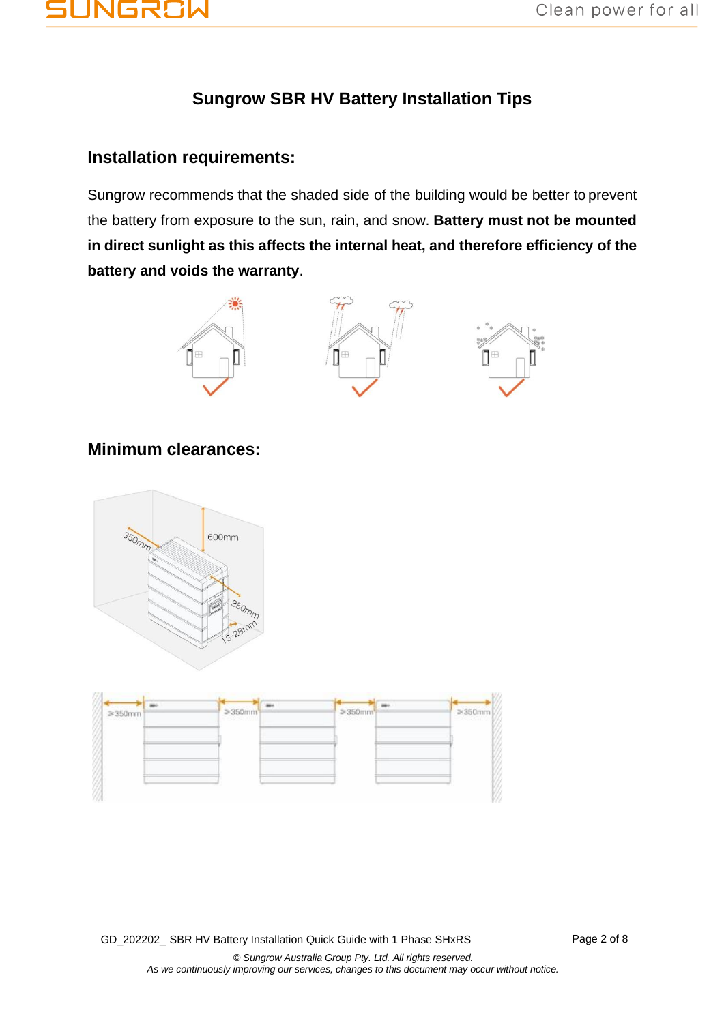# JNGR81

## **Sungrow SBR HV Battery Installation Tips**

### **Installation requirements:**

Sungrow recommends that the shaded side of the building would be better to prevent the battery from exposure to the sun, rain, and snow. **Battery must not be mounted in direct sunlight as this affects the internal heat, and therefore efficiency of the battery and voids the warranty**.







### **Minimum clearances:**





GD\_202202\_ SBR HV Battery Installation Quick Guide with 1 Phase SHxRS Page 2 of 8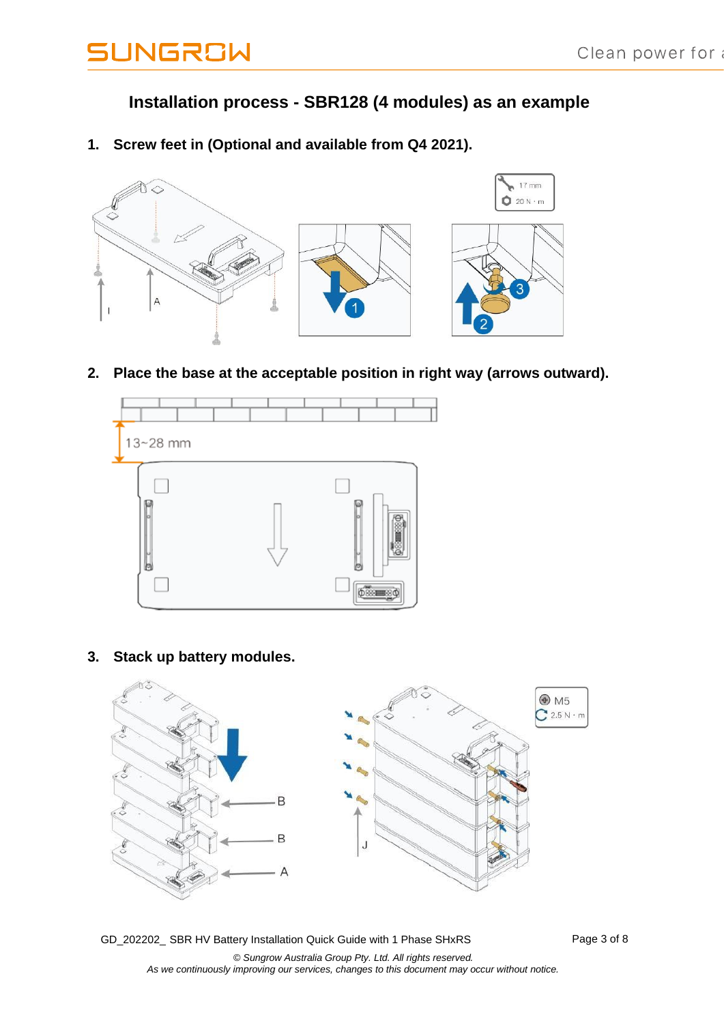### **Installation process - SBR128 (4 modules) as an example**

**1. Screw feet in (Optional and available from Q4 2021).**



**2. Place the base at the acceptable position in right way (arrows outward).**



**3. Stack up battery modules.**

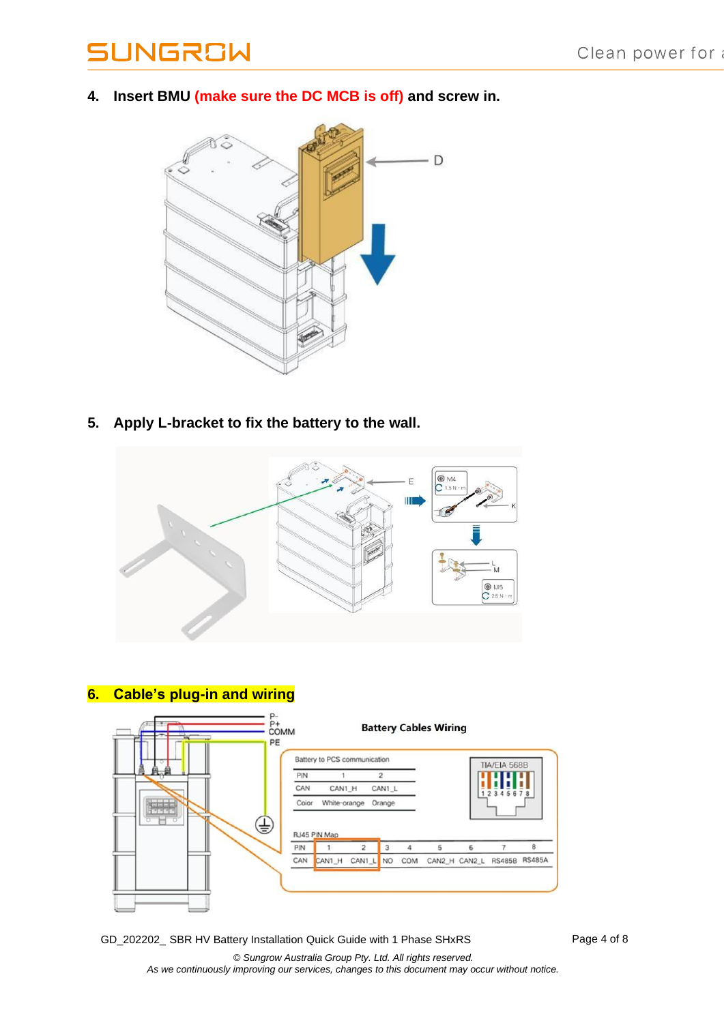**4. Insert BMU (make sure the DC MCB is off) and screw in.**



**5. Apply L-bracket to fix the battery to the wall.**



## **6. Cable's plug-in and wiring**



GD\_202202\_ SBR HV Battery Installation Quick Guide with 1 Phase SHxRS Page 4 of 8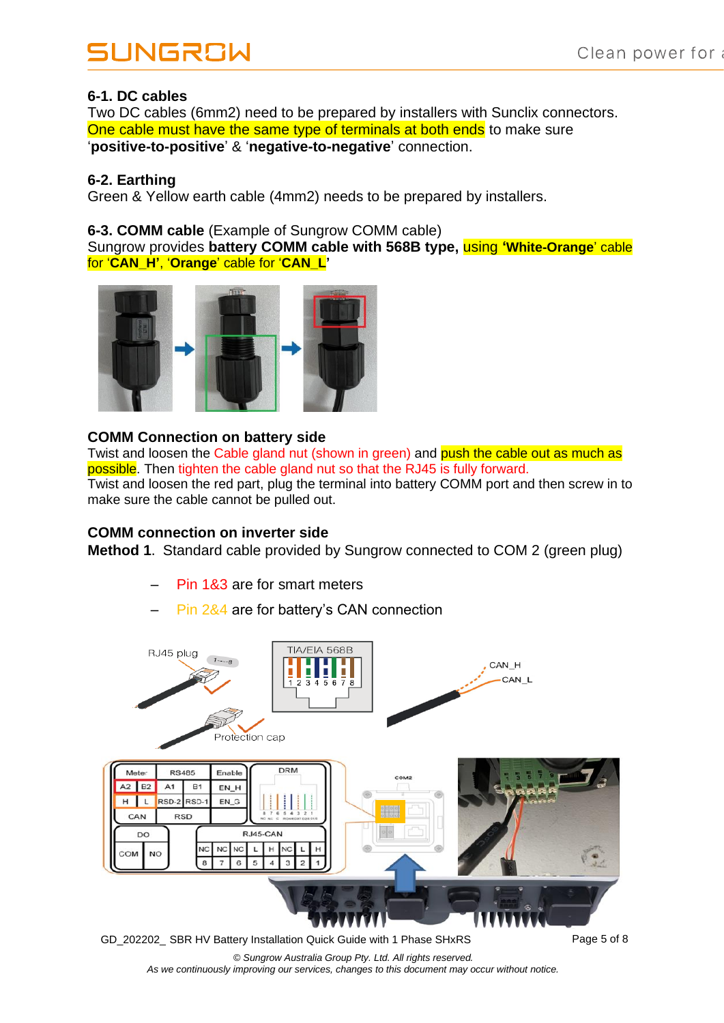#### **6-1. DC cables**

Two DC cables (6mm2) need to be prepared by installers with Sunclix connectors. One cable must have the same type of terminals at both ends to make sure '**positive-to-positive**' & '**negative-to-negative**' connection.

#### **6-2. Earthing**

Green & Yellow earth cable (4mm2) needs to be prepared by installers.

#### **6-3. COMM cable** (Example of Sungrow COMM cable)

Sungrow provides **battery COMM cable with 568B type,** using **'White-Orange**' cable for '**CAN\_H'**, '**Orange**' cable for '**CAN\_L'**



#### **COMM Connection on battery side**

Twist and loosen the Cable gland nut (shown in green) and push the cable out as much as possible. Then tighten the cable gland nut so that the RJ45 is fully forward. Twist and loosen the red part, plug the terminal into battery COMM port and then screw in to make sure the cable cannot be pulled out.

#### **COMM connection on inverter side**

**Method 1**. Standard cable provided by Sungrow connected to COM 2 (green plug)

- Pin 1&3 are for smart meters
- Pin 2&4 are for battery's CAN connection

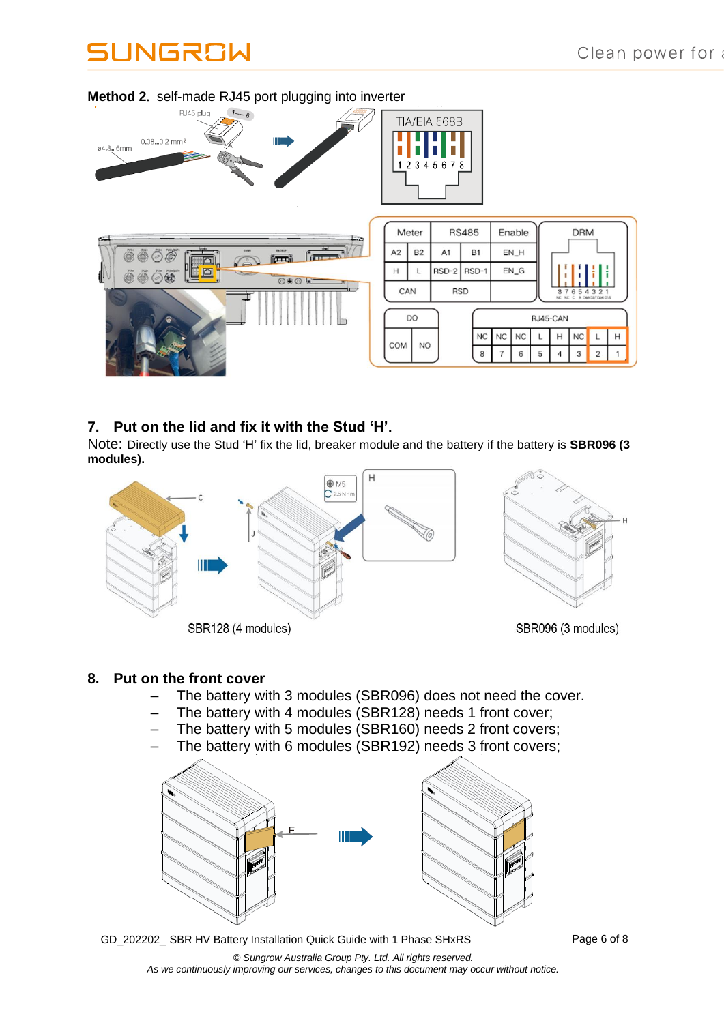

#### **Method 2**. self-made RJ45 port plugging into inverter

#### **7. Put on the lid and fix it with the Stud 'H'.**

Note: Directly use the Stud 'H' fix the lid, breaker module and the battery if the battery is **SBR096 (3 modules).**



#### **8. Put on the front cover**

- The battery with 3 modules (SBR096) does not need the cover.
- The battery with 4 modules (SBR128) needs 1 front cover;
- The battery with 5 modules (SBR160) needs 2 front covers;
- The battery with 6 modules (SBR192) needs 3 front covers;



GD\_202202\_ SBR HV Battery Installation Quick Guide with 1 Phase SHxRS Page 6 of 8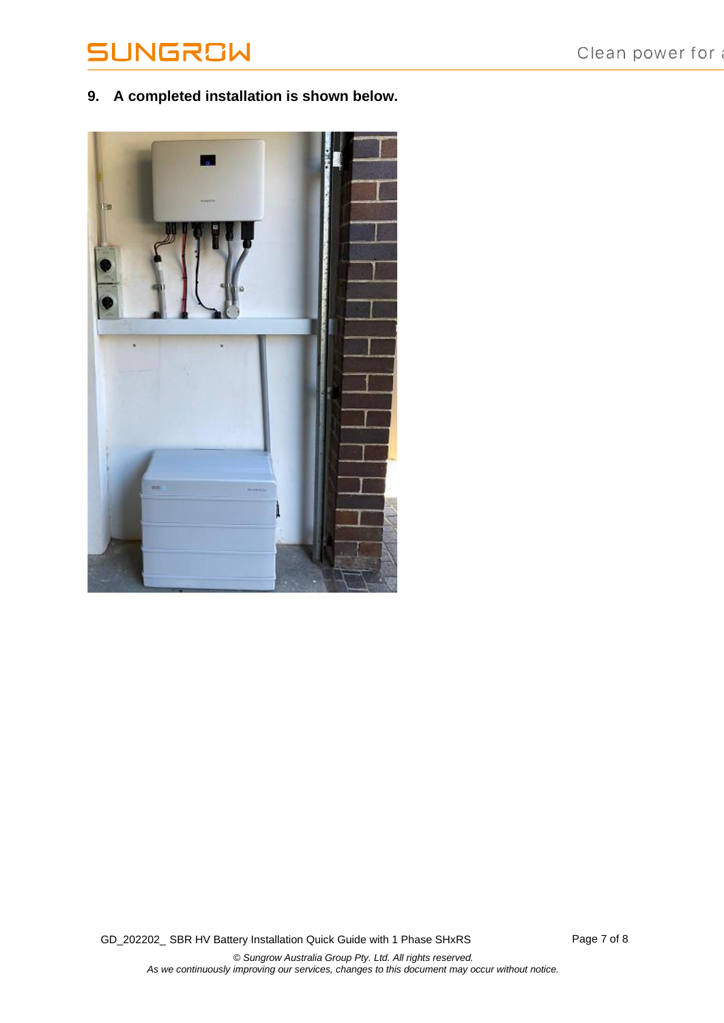**9. A completed installation is shown below.**